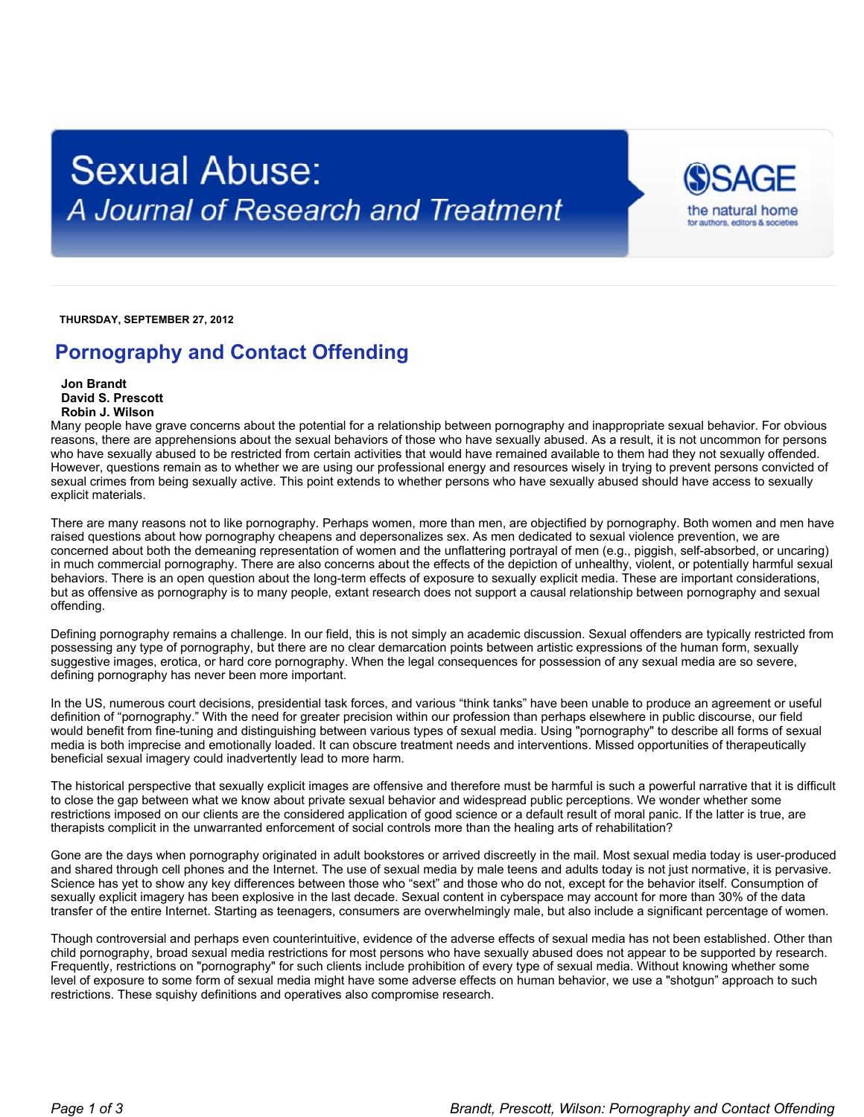## **Sexual Abuse:** A Journal of Research and Treatment



 **THURSDAY, SEPTEMBER 27, 2012**

## **Pornography and Contact Offending**

 **Jon Brandt David S. Prescott Robin J. Wilson**

Many people have grave concerns about the potential for a relationship between pornography and inappropriate sexual behavior. For obvious reasons, there are apprehensions about the sexual behaviors of those who have sexually abused. As a result, it is not uncommon for persons who have sexually abused to be restricted from certain activities that would have remained available to them had they not sexually offended. However, questions remain as to whether we are using our professional energy and resources wisely in trying to prevent persons convicted of sexual crimes from being sexually active. This point extends to whether persons who have sexually abused should have access to sexually explicit materials.

There are many reasons not to like pornography. Perhaps women, more than men, are objectified by pornography. Both women and men have raised questions about how pornography cheapens and depersonalizes sex. As men dedicated to sexual violence prevention, we are concerned about both the demeaning representation of women and the unflattering portrayal of men (e.g., piggish, self-absorbed, or uncaring) in much commercial pornography. There are also concerns about the effects of the depiction of unhealthy, violent, or potentially harmful sexual behaviors. There is an open question about the long-term effects of exposure to sexually explicit media. These are important considerations, but as offensive as pornography is to many people, extant research does not support a causal relationship between pornography and sexual offending.

Defining pornography remains a challenge. In our field, this is not simply an academic discussion. Sexual offenders are typically restricted from possessing any type of pornography, but there are no clear demarcation points between artistic expressions of the human form, sexually suggestive images, erotica, or hard core pornography. When the legal consequences for possession of any sexual media are so severe, defining pornography has never been more important.

In the US, numerous court decisions, presidential task forces, and various "think tanks" have been unable to produce an agreement or useful definition of "pornography." With the need for greater precision within our profession than perhaps elsewhere in public discourse, our field would benefit from fine-tuning and distinguishing between various types of sexual media. Using "pornography" to describe all forms of sexual media is both imprecise and emotionally loaded. It can obscure treatment needs and interventions. Missed opportunities of therapeutically beneficial sexual imagery could inadvertently lead to more harm.

The historical perspective that sexually explicit images are offensive and therefore must be harmful is such a powerful narrative that it is difficult to close the gap between what we know about private sexual behavior and widespread public perceptions. We wonder whether some restrictions imposed on our clients are the considered application of good science or a default result of moral panic. If the latter is true, are therapists complicit in the unwarranted enforcement of social controls more than the healing arts of rehabilitation?

Gone are the days when pornography originated in adult bookstores or arrived discreetly in the mail. Most sexual media today is user-produced and shared through cell phones and the Internet. The use of sexual media by male teens and adults today is not just normative, it is pervasive. Science has yet to show any key differences between those who "sext" and those who do not, except for the behavior itself. Consumption of sexually explicit imagery has been explosive in the last decade. Sexual content in cyberspace may account for more than 30% of the data transfer of the entire Internet. Starting as teenagers, consumers are overwhelmingly male, but also include a significant percentage of women.

Though controversial and perhaps even counterintuitive, evidence of the adverse effects of sexual media has not been established. Other than child pornography, broad sexual media restrictions for most persons who have sexually abused does not appear to be supported by research. Frequently, restrictions on "pornography" for such clients include prohibition of every type of sexual media. Without knowing whether some level of exposure to some form of sexual media might have some adverse effects on human behavior, we use a "shotgun" approach to such restrictions. These squishy definitions and operatives also compromise research.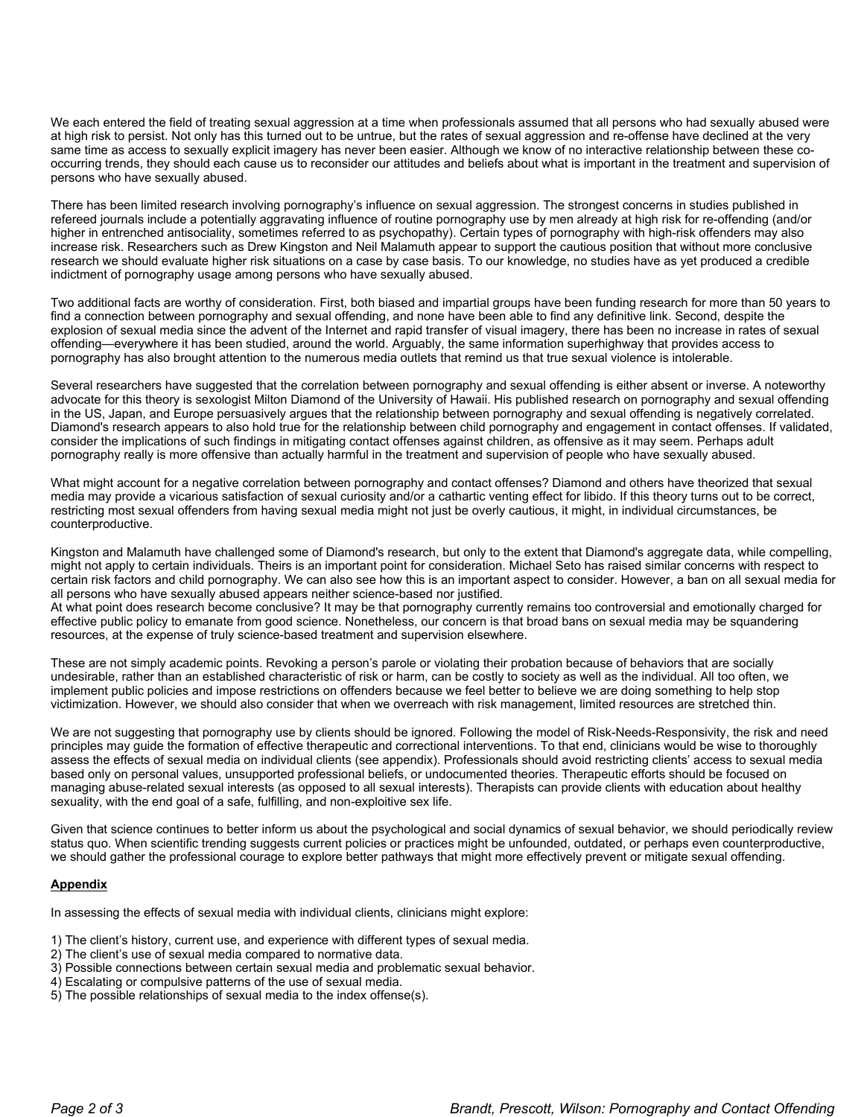We each entered the field of treating sexual aggression at a time when professionals assumed that all persons who had sexually abused were at high risk to persist. Not only has this turned out to be untrue, but the rates of sexual aggression and re-offense have declined at the very same time as access to sexually explicit imagery has never been easier. Although we know of no interactive relationship between these cooccurring trends, they should each cause us to reconsider our attitudes and beliefs about what is important in the treatment and supervision of persons who have sexually abused.

There has been limited research involving pornography's influence on sexual aggression. The strongest concerns in studies published in refereed journals include a potentially aggravating influence of routine pornography use by men already at high risk for re-offending (and/or higher in entrenched antisociality, sometimes referred to as psychopathy). Certain types of pornography with high-risk offenders may also increase risk. Researchers such as Drew Kingston and Neil Malamuth appear to support the cautious position that without more conclusive research we should evaluate higher risk situations on a case by case basis. To our knowledge, no studies have as yet produced a credible indictment of pornography usage among persons who have sexually abused.

Two additional facts are worthy of consideration. First, both biased and impartial groups have been funding research for more than 50 years to find a connection between pornography and sexual offending, and none have been able to find any definitive link. Second, despite the explosion of sexual media since the advent of the Internet and rapid transfer of visual imagery, there has been no increase in rates of sexual offending—everywhere it has been studied, around the world. Arguably, the same information superhighway that provides access to pornography has also brought attention to the numerous media outlets that remind us that true sexual violence is intolerable.

Several researchers have suggested that the correlation between pornography and sexual offending is either absent or inverse. A noteworthy advocate for this theory is sexologist Milton Diamond of the University of Hawaii. His published research on pornography and sexual offending in the US, Japan, and Europe persuasively argues that the relationship between pornography and sexual offending is negatively correlated. Diamond's research appears to also hold true for the relationship between child pornography and engagement in contact offenses. If validated, consider the implications of such findings in mitigating contact offenses against children, as offensive as it may seem. Perhaps adult pornography really is more offensive than actually harmful in the treatment and supervision of people who have sexually abused.

What might account for a negative correlation between pornography and contact offenses? Diamond and others have theorized that sexual media may provide a vicarious satisfaction of sexual curiosity and/or a cathartic venting effect for libido. If this theory turns out to be correct, restricting most sexual offenders from having sexual media might not just be overly cautious, it might, in individual circumstances, be counterproductive.

Kingston and Malamuth have challenged some of Diamond's research, but only to the extent that Diamond's aggregate data, while compelling, might not apply to certain individuals. Theirs is an important point for consideration. Michael Seto has raised similar concerns with respect to certain risk factors and child pornography. We can also see how this is an important aspect to consider. However, a ban on all sexual media for all persons who have sexually abused appears neither science-based nor justified.

At what point does research become conclusive? It may be that pornography currently remains too controversial and emotionally charged for effective public policy to emanate from good science. Nonetheless, our concern is that broad bans on sexual media may be squandering resources, at the expense of truly science-based treatment and supervision elsewhere.

These are not simply academic points. Revoking a person's parole or violating their probation because of behaviors that are socially undesirable, rather than an established characteristic of risk or harm, can be costly to society as well as the individual. All too often, we implement public policies and impose restrictions on offenders because we feel better to believe we are doing something to help stop victimization. However, we should also consider that when we overreach with risk management, limited resources are stretched thin.

We are not suggesting that pornography use by clients should be ignored. Following the model of Risk-Needs-Responsivity, the risk and need principles may guide the formation of effective therapeutic and correctional interventions. To that end, clinicians would be wise to thoroughly assess the effects of sexual media on individual clients (see appendix). Professionals should avoid restricting clients' access to sexual media based only on personal values, unsupported professional beliefs, or undocumented theories. Therapeutic efforts should be focused on managing abuse-related sexual interests (as opposed to all sexual interests). Therapists can provide clients with education about healthy sexuality, with the end goal of a safe, fulfilling, and non-exploitive sex life.

Given that science continues to better inform us about the psychological and social dynamics of sexual behavior, we should periodically review status quo. When scientific trending suggests current policies or practices might be unfounded, outdated, or perhaps even counterproductive, we should gather the professional courage to explore better pathways that might more effectively prevent or mitigate sexual offending.

## **Appendix**

In assessing the effects of sexual media with individual clients, clinicians might explore:

1) The client's history, current use, and experience with different types of sexual media.

- 2) The client's use of sexual media compared to normative data.
- 3) Possible connections between certain sexual media and problematic sexual behavior.
- 4) Escalating or compulsive patterns of the use of sexual media.
- 5) The possible relationships of sexual media to the index offense(s).